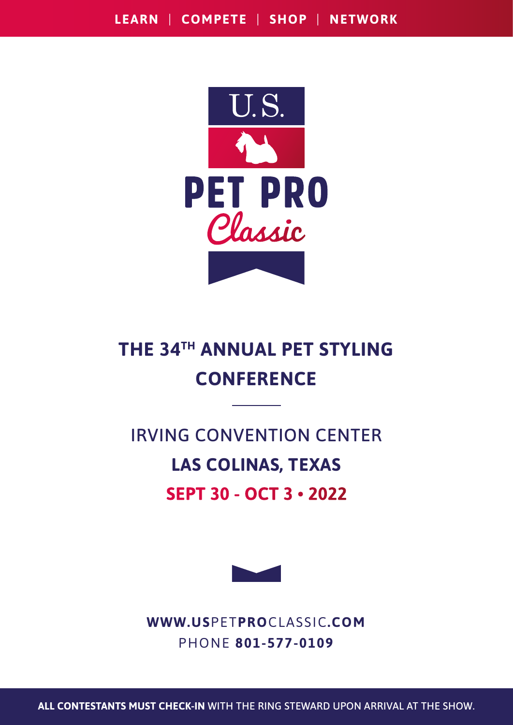

## **THE 34TH ANNUAL PET STYLING CONFERENCE**

# IRVING CONVENTION CENTER **LAS COLINAS, TEXAS SEPT 30 - OCT 3 . 2022**



**WWW.US**PET**PRO**CLASSIC**.COM** PHONE **801-577-0109**

**ALL CONTESTANTS MUST CHECK-IN** WITH THE RING STEWARD UPON ARRIVAL AT THE SHOW.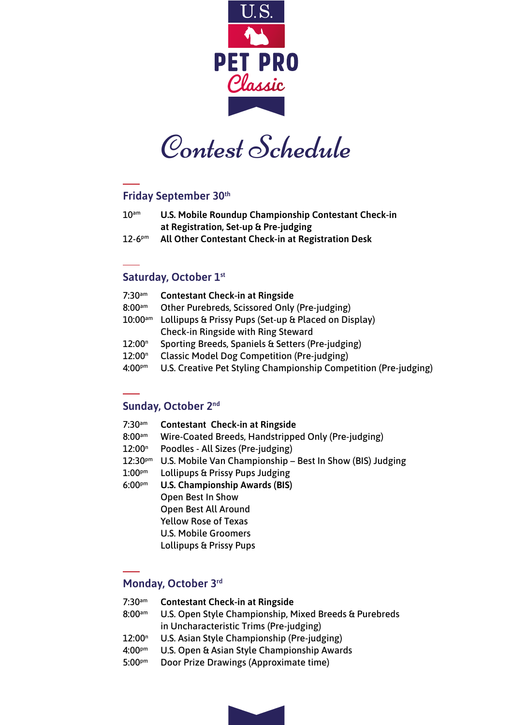

Contest Schedule

#### **Friday September 30th**

- 10am **U.S. Mobile Roundup Championship Contestant Check-in at Registration, Set-up & Pre-judging**
- 12-6pm **All Other Contestant Check-in at Registration Desk**

### **Saturday, October 1st**

| $7:30$ <sub>am</sub>  | <b>Contestant Check-in at Ringside</b>                           |
|-----------------------|------------------------------------------------------------------|
| $8:00^{am}$           | Other Purebreds, Scissored Only (Pre-judging)                    |
| $10:00$ <sub>am</sub> | Lollipups & Prissy Pups (Set-up & Placed on Display)             |
|                       | <b>Check-in Ringside with Ring Steward</b>                       |
| 12:00 <sup>n</sup>    | Sporting Breeds, Spaniels & Setters (Pre-judging)                |
| 12:00 <sup>n</sup>    | <b>Classic Model Dog Competition (Pre-judging)</b>               |
| $4:00^{pm}$           | U.S. Creative Pet Styling Championship Competition (Pre-judging) |
|                       |                                                                  |

### **Sunday, October 2nd**

| $7:30$ <sup>am</sup> | <b>Contestant Check-in at Ringside</b>                    |
|----------------------|-----------------------------------------------------------|
| $8:00$ <sup>am</sup> | Wire-Coated Breeds, Handstripped Only (Pre-judging)       |
| 12:00 <sup>n</sup>   | Poodles - All Sizes (Pre-judging)                         |
| $12:30^{pm}$         | U.S. Mobile Van Championship - Best In Show (BIS) Judging |
| $1:00$ <sup>pm</sup> | Lollipups & Prissy Pups Judging                           |
| $6:00^{pm}$          | <b>U.S. Championship Awards (BIS)</b>                     |
|                      | Open Best In Show                                         |
|                      | Open Best All Around                                      |
|                      | <b>Yellow Rose of Texas</b>                               |
|                      | U.S. Mobile Groomers                                      |
|                      | Lollipups & Prissy Pups                                   |
|                      |                                                           |

### **Monday, October 3rd**

- 7:30am **Contestant Check-in at Ringside**
- 8:00<sup>am</sup> U.S. Open Style Championship, Mixed Breeds & Purebreds in Uncharacteristic Trims (Pre-judging)
- $12:00<sup>n</sup>$ U.S. Asian Style Championship (Pre-judging)
- 4:00pm U.S. Open & Asian Style Championship Awards
- 5:00<sup>pm</sup> Door Prize Drawings (Approximate time)